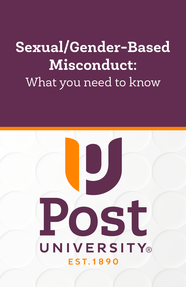# **Sexual/Gender-Based Misconduct:** What you need to know

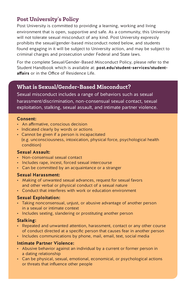## **Post University's Policy**

Post University is committed to providing a learning, working and living environment that is open, supportive and safe. As a community, this University will not tolerate sexual misconduct of any kind. Post University expressly prohibits the sexual/gender-based misconduct noted below, and students found engaging in it will be subject to University action, and may be subject to criminal charges and prosecution under Federal and State laws.

For the complete Sexual/Gender-Based Misconduct Policy, please refer to the Student Handbook which is available at: **post.edu/student-services/studentaffairs** or in the Office of Residence Life.

### **What is Sexual/Gender-Based Misconduct?**

Sexual misconduct includes a range of behaviors such as sexual

harassment/discrimination, non-consensual sexual contact, sexual exploitation, stalking, sexual assault, and intimate partner violence.

#### **Consent:**

- An affirmative, conscious decision
- Indicated clearly by words or actions
- Cannot be given if a person is incapacitated (e.g. unconsciousness, intoxication, physical force, psychological health condition)

#### **Sexual Assault:**

- Non-consensual sexual contact
- Includes rape, incest, forced sexual intercourse
- Can be committed by an acquaintance or a stranger

#### **Sexual Harassment:**

- Making of unwanted sexual advances, request for sexual favors and other verbal or physical conduct of a sexual nature
- Conduct that interferes with work or education environment

#### **Sexual Exploitation:**

- Taking nonconsensual, unjust, or abusive advantage of another person in a sexual or intimate context
- Includes sexting, slandering or prostituting another person

#### **Stalking:**

- Repeated and unwanted attention, harassment, contact or any other course of conduct directed at a specific person that causes fear in another person
- Includes communications by phone, mail, email, text, social media

#### **Intimate Partner Violence:**

- Abusive behavior against an individual by a current or former person in a dating relationship
- Can be physical, sexual, emotional, economical, or psychological actions or threats that influence other people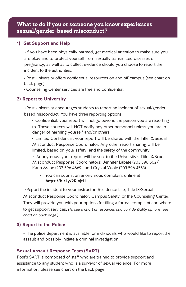## **What to do if you or someone you know experiences**  sexual/gender-based misconduct?

#### **1) Get Support and Help**

 •If you have been physically harmed, get medical attention to make sure you are okay and to protect yourself from sexually transmitted diseases or pregnancy, as well as to collect evidence should you choose to report the incident to the authorities.

 •Post University offers confidential resources on and off campus (see chart on back page).

• Counseling Center services are free and confidential.

#### **2) Report to University**

 •Post University encourages students to report an incident of sexual/gender based misconduct. You have three reporting options:

 • Confidential: your report will not go beyond the person you are reporting to. These sources will NOT notify any other personnel unless you are in danger of harming yourself and/or others.

 • Limited Confidential: your report will be shared with the Title IX/Sexual Misconduct Response Coordinator. Any other report sharing will be limited, based on your safety and the safety of the community.

 • Anonymous: your report will be sent to the University's Title IX/Sexual Misconduct Response Coordinators: Jennifer Labate (203.596.6027), Karin Mann (203.596.4669), and Crystal Vuole (203.596.4553).

 - You can submit an anonymous complaint online at  **https://bit.ly/2RjojtH**

 •Report the incident to your instructor, Residence Life, Title IX/Sexual Misconduct Response Coordinator, Campus Safety, or the Counseling Center. They will provide you with your options for filing a formal complaint and where to get support services. *(To see a chart of resources and confidentiality options, see chart on back page.)*

#### **3) Report to the Police**

 • The police department is available for individuals who would like to report the assault and possibly initiate a criminal investigation.

#### **Sexual Assault Response Team (SART)**

Post's SART is composed of staff who are trained to provide support and assistance to any student who is a survivor of sexual violence. For more information, please see chart on the back page.